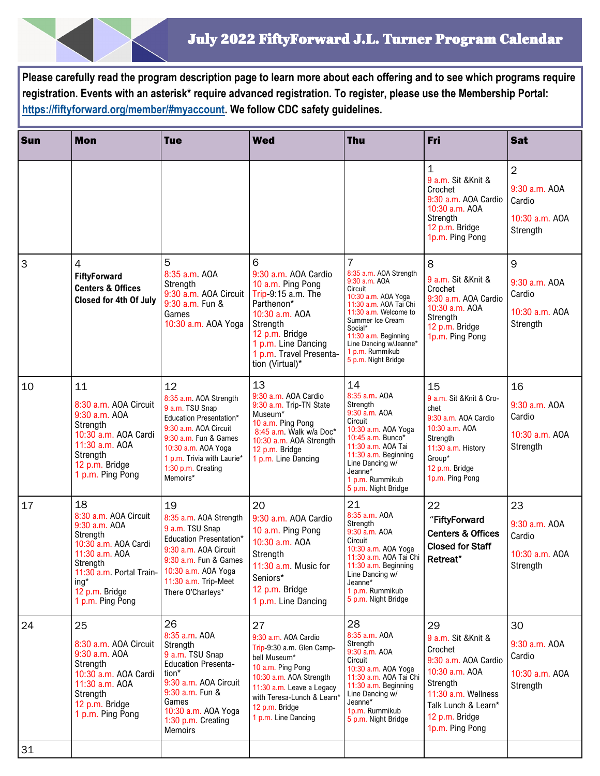**Please carefully read the program description page to learn more about each offering and to see which programs require registration. Events with an asterisk\* require advanced registration. To register, please use the Membership Portal: [https://fiftyforward.org/member/#myaccount.](https://fiftyforward.org/member/#myaccount) We follow CDC safety guidelines.** 

| Sun | <b>Mon</b>                                                                                                                                                                                                     | <b>Tue</b>                                                                                                                                                                                                                 | <b>Wed</b>                                                                                                                                                                                                                  | <b>Thu</b>                                                                                                                                                                                                                                                                | Fri                                                                                                                                                                           | <b>Sat</b>                                                              |
|-----|----------------------------------------------------------------------------------------------------------------------------------------------------------------------------------------------------------------|----------------------------------------------------------------------------------------------------------------------------------------------------------------------------------------------------------------------------|-----------------------------------------------------------------------------------------------------------------------------------------------------------------------------------------------------------------------------|---------------------------------------------------------------------------------------------------------------------------------------------------------------------------------------------------------------------------------------------------------------------------|-------------------------------------------------------------------------------------------------------------------------------------------------------------------------------|-------------------------------------------------------------------------|
|     |                                                                                                                                                                                                                |                                                                                                                                                                                                                            |                                                                                                                                                                                                                             |                                                                                                                                                                                                                                                                           | $\mathbf 1$<br>9 a.m. Sit & Knit &<br>Crochet<br>9:30 a.m. AOA Cardio<br>10:30 a.m. AOA<br>Strength<br>12 p.m. Bridge<br>1p.m. Ping Pong                                      | $\overline{2}$<br>9:30 a.m. AOA<br>Cardio<br>10:30 a.m. AOA<br>Strength |
| 3   | $\overline{4}$<br><b>FiftyForward</b><br><b>Centers &amp; Offices</b><br><b>Closed for 4th Of July</b>                                                                                                         | 5<br>8:35 a.m. AOA<br>Strength<br>9:30 a.m. AOA Circuit<br>9:30 a.m. Fun &<br>Games<br>10:30 a.m. AOA Yoga                                                                                                                 | 6<br>9:30 a.m. AOA Cardio<br>10 a.m. Ping Pong<br>Trip-9:15 a.m. The<br>Parthenon*<br>10:30 a.m. AOA<br>Strength<br>12 p.m. Bridge<br>1 p.m. Line Dancing<br>1 p.m. Travel Presenta-<br>tion (Virtual)*                     | $\overline{7}$<br>8:35 a.m. AOA Strength<br>9:30 a.m. AOA<br>Circuit<br>10:30 a.m. AOA Yoga<br>11:30 a.m. AOA Tai Chi<br>11:30 a.m. Welcome to<br>Summer Ice Cream<br>Social*<br>11:30 a.m. Beginning<br>Line Dancing w/Jeanne*<br>1 p.m. Rummikub<br>5 p.m. Night Bridge | 8<br>9 a.m. Sit & Knit &<br>Crochet<br>9:30 a.m. AOA Cardio<br>10:30 a.m. AOA<br>Strength<br>12 p.m. Bridge<br>1p.m. Ping Pong                                                | 9<br>9:30 a.m. AOA<br>Cardio<br>10:30 a.m. AOA<br>Strength              |
| 10  | 11<br>8:30 a.m. AOA Circuit<br>9:30 a.m. AOA<br>Strength<br>10:30 a.m. AOA Cardi<br>11:30 a.m. AOA<br>Strength<br>12 p.m. Bridge<br>1 p.m. Ping Pong                                                           | 12<br>8:35 a.m. AOA Strength<br>9 a.m. TSU Snap<br><b>Education Presentation*</b><br>9:30 a.m. AOA Circuit<br>9:30 a.m. Fun & Games<br>10:30 a.m. AOA Yoga<br>1 p.m. Trivia with Laurie*<br>1:30 p.m. Creating<br>Memoirs* | 13<br>9:30 a.m. AOA Cardio<br>9:30 a.m. Trip-TN State<br>Museum*<br>10 a.m. Ping Pong<br>8:45 a.m. Walk w/a Doc*<br>10:30 a.m. AOA Strength<br>12 p.m. Bridge<br>1 p.m. Line Dancing                                        | 14<br>8:35 a.m. AOA<br>Strength<br>9:30 a.m. AOA<br>Circuit<br>10:30 a.m. AOA Yoga<br>10:45 a.m. Bunco*<br>11:30 a.m. AOA Tai<br>11:30 a.m. Beginning<br>Line Dancing w/<br>Jeanne*<br>1 p.m. Rummikub<br>5 p.m. Night Bridge                                             | 15<br>9 a.m. Sit & Knit & Cro-<br>chet<br>9:30 a.m. AOA Cardio<br>10:30 a.m. AOA<br>Strength<br>11:30 a.m. History<br>Group*<br>12 p.m. Bridge<br>1p.m. Ping Pong             | 16<br>9:30 a.m. AOA<br>Cardio<br>10:30 a.m. AOA<br>Strength             |
| 17  | 18<br>8:30 a.m. AOA Circuit<br>9:30 a.m. AOA<br>Strength<br>10:30 a.m. AOA Cardi<br>11:30 a.m. AOA<br>Strength<br>11:30 a.m. Portal Train-   10:30 a.m. AOA Yoga<br>ing*<br>12 p.m. Bridge<br>1 p.m. Ping Pong | 19<br>8:35 a.m. AOA Strength<br>9 a.m. TSU Snap<br>Education Presentation*<br>9:30 a.m. AOA Circuit<br>9:30 a.m. Fun & Games<br>11:30 a.m. Trip-Meet<br>There O'Charleys*                                                  | 20<br>9:30 a.m. AOA Cardio<br>10 a.m. Ping Pong<br>10:30 a.m. AOA<br>Strength<br>11:30 a.m. Music for<br>Seniors*<br>12 p.m. Bridge<br>1 p.m. Line Dancing                                                                  | 21<br>8:35 a.m. AOA<br>Strength<br>9:30 a.m. AOA<br>Circuit<br>10:30 a.m. AOA Yoga<br>11:30 a.m. AOA Tai Chi<br>11:30 a.m. Beginning<br>Line Dancing w/<br>Jeanne*<br>1 p.m. Rummikub<br>5 p.m. Night Bridge                                                              | 22<br>"FiftyForward<br><b>Centers &amp; Offices</b><br><b>Closed for Staff</b><br>Retreat"                                                                                    | 23<br>9:30 a.m. AOA<br>Cardio<br>10:30 a.m. AOA<br>Strength             |
| 24  | 25<br>8:30 a.m. AOA Circuit<br>9:30 a.m. AOA<br>Strength<br>10:30 a.m. AOA Cardi<br>11:30 a.m. AOA<br>Strength<br>12 p.m. Bridge<br>1 p.m. Ping Pong                                                           | 26<br>8:35 a.m. AOA<br>Strength<br>9 a.m. TSU Snap<br><b>Education Presenta-</b><br>tion*<br>9:30 a.m. AOA Circuit<br>9:30 a.m. Fun &<br>Games<br>10:30 a.m. AOA Yoga<br>1:30 p.m. Creating<br><b>Memoirs</b>              | 27<br>9:30 a.m. AOA Cardio<br>Trip-9:30 a.m. Glen Camp-<br>bell Museum*<br>10 a.m. Ping Pong<br>10:30 a.m. AOA Strength<br>11:30 a.m. Leave a Legacy<br>with Teresa-Lunch & Learn*<br>12 p.m. Bridge<br>1 p.m. Line Dancing | 28<br>8:35 a.m. AOA<br>Strength<br>9:30 a.m. AOA<br>Circuit<br>10:30 a.m. AOA Yoga<br>11:30 a.m. AOA Tai Chi<br>11:30 a.m. Beginning<br>Line Dancing w/<br>Jeanne*<br>1p.m. Rummikub<br>5 p.m. Night Bridge                                                               | 29<br>9 a.m. Sit & Knit &<br>Crochet<br>9:30 a.m. AOA Cardio<br>10:30 a.m. AOA<br>Strength<br>11:30 a.m. Wellness<br>Talk Lunch & Learn*<br>12 p.m. Bridge<br>1p.m. Ping Pong | 30<br>9:30 a.m. AOA<br>Cardio<br>10:30 a.m. AOA<br>Strength             |
| 31  |                                                                                                                                                                                                                |                                                                                                                                                                                                                            |                                                                                                                                                                                                                             |                                                                                                                                                                                                                                                                           |                                                                                                                                                                               |                                                                         |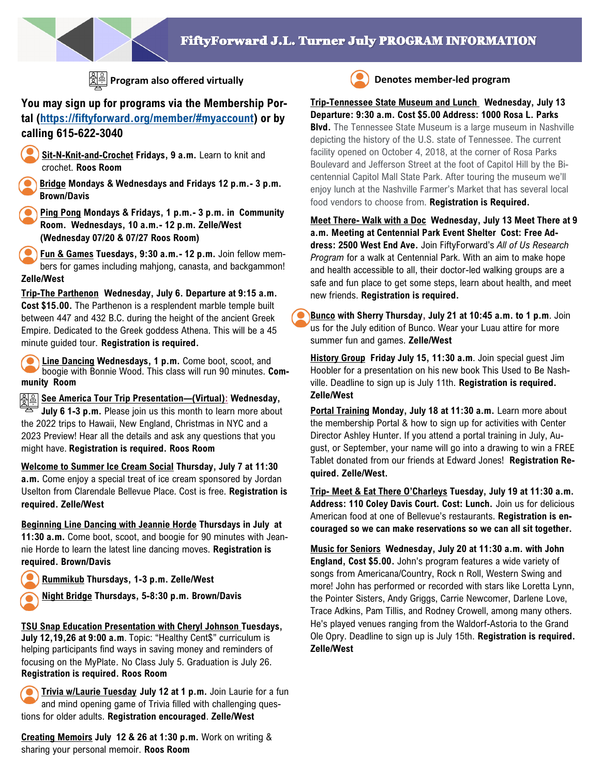

**Program also offered virtually Denotes member-led program** 

# **You may sign up for programs via the Membership Portal [\(https://fiftyforward.org/member/#myaccount\)](https://fiftyforward.org/member/#myaccount) or by calling 615-622-3040**

- **Sit-N-Knit-and-Crochet Fridays, 9 a.m.** Learn to knit and crochet. **Roos Room**
- **Bridge Mondays & Wednesdays and Fridays 12 p.m.- 3 p.m. Brown/Davis**
- **Ping Pong Mondays & Fridays, 1 p.m.- 3 p.m. in Community Room. Wednesdays, 10 a.m.- 12 p.m. Zelle/West (Wednesday 07/20 & 07/27 Roos Room)**
- **Fun & Games Tuesdays, 9:30 a.m.- 12 p.m.** Join fellow members for games including mahjong, canasta, and backgammon! **Zelle/West**

**Trip-The Parthenon Wednesday, July 6. Departure at 9:15 a.m. Cost \$15.00.** The Parthenon is a resplendent marble temple built between 447 and 432 B.C. during the height of the ancient Greek Empire. Dedicated to the Greek goddess Athena. This will be a 45 minute guided tour. **Registration is required.**

**Line Dancing Wednesdays, 1 p.m.** Come boot, scoot, and boogie with Bonnie Wood. This class will run 90 minutes. **Community Room** 

**See America Tour Trip Presentation—(Virtual): Wednesday, July 6 1-3 p.m.** Please join us this month to learn more about the 2022 trips to Hawaii, New England, Christmas in NYC and a 2023 Preview! Hear all the details and ask any questions that you might have. **Registration is required. Roos Room**

**Welcome to Summer Ice Cream Social Thursday, July 7 at 11:30 a.m.** Come enjoy a special treat of ice cream sponsored by Jordan Uselton from Clarendale Bellevue Place. Cost is free. **Registration is required. Zelle/West**

**Beginning Line Dancing with Jeannie Horde Thursdays in July at 11:30 a.m.** Come boot, scoot, and boogie for 90 minutes with Jeannie Horde to learn the latest line dancing moves. **Registration is required. Brown/Davis**

**Rummikub Thursdays, 1-3 p.m. Zelle/West**

**Night Bridge Thursdays, 5-8:30 p.m. Brown/Davis** 

## **TSU Snap Education Presentation with Cheryl Johnson Tuesdays,**

**July 12,19,26 at 9:00 a.m**. Topic: "Healthy Cent\$" curriculum is helping participants find ways in saving money and reminders of focusing on the MyPlate. No Class July 5. Graduation is July 26. **Registration is required. Roos Room** 

**Trivia w/Laurie Tuesday July 12 at 1 p.m.** Join Laurie for a fun and mind opening game of Trivia filled with challenging questions for older adults. **Registration encouraged**. **Zelle/West** 

**Creating Memoirs July 12 & 26 at 1:30 p.m.** Work on writing & sharing your personal memoir. **Roos Room**



**Trip-Tennessee State Museum and Lunch Wednesday, July 13 Departure: 9:30 a.m. Cost \$5.00 Address: 1000 Rosa L. Parks Blvd.** The Tennessee State Museum is a large museum in Nashville depicting the history of the U.S. state of Tennessee. The current facility opened on October 4, 2018, at the corner of Rosa Parks Boulevard and Jefferson Street at the foot of Capitol Hill by the Bicentennial Capitol Mall State Park. After touring the museum we'll enjoy lunch at the Nashville Farmer's Market that has several local food vendors to choose from. **Registration is Required.**

**Meet There- Walk with a Doc Wednesday, July 13 Meet There at 9 a.m. Meeting at Centennial Park Event Shelter Cost: Free Address: 2500 West End Ave.** Join FiftyForward's *All of Us Research Program* for a walk at Centennial Park. With an aim to make hope and health accessible to all, their doctor-led walking groups are a safe and fun place to get some steps, learn about health, and meet new friends. **Registration is required.**

**Bunco with Sherry Thursday, July 21 at 10:45 a.m. to 1 p.m**. Join us for the July edition of Bunco. Wear your Luau attire for more summer fun and games. **Zelle/West**

**History Group Friday July 15, 11:30 a.m**. Join special guest Jim Hoobler for a presentation on his new book This Used to Be Nashville. Deadline to sign up is July 11th. **Registration is required. Zelle/West**

**Portal Training Monday, July 18 at 11:30 a.m.** Learn more about the membership Portal & how to sign up for activities with Center Director Ashley Hunter. If you attend a portal training in July, August, or September, your name will go into a drawing to win a FREE Tablet donated from our friends at Edward Jones! **Registration Required. Zelle/West.**

**Trip- Meet & Eat There O'Charleys Tuesday, July 19 at 11:30 a.m. Address: 110 Coley Davis Court. Cost: Lunch.** Join us for delicious American food at one of Bellevue's restaurants. **Registration is encouraged so we can make reservations so we can all sit together.** 

**Music for Seniors Wednesday, July 20 at 11:30 a.m. with John England, Cost \$5.00.** John's program features a wide variety of songs from Americana/Country, Rock n Roll, Western Swing and more! John has performed or recorded with stars like Loretta Lynn, the Pointer Sisters, Andy Griggs, Carrie Newcomer, Darlene Love, Trace Adkins, Pam Tillis, and Rodney Crowell, among many others. He's played venues ranging from the Waldorf-Astoria to the Grand Ole Opry. Deadline to sign up is July 15th. **Registration is required. Zelle/West**